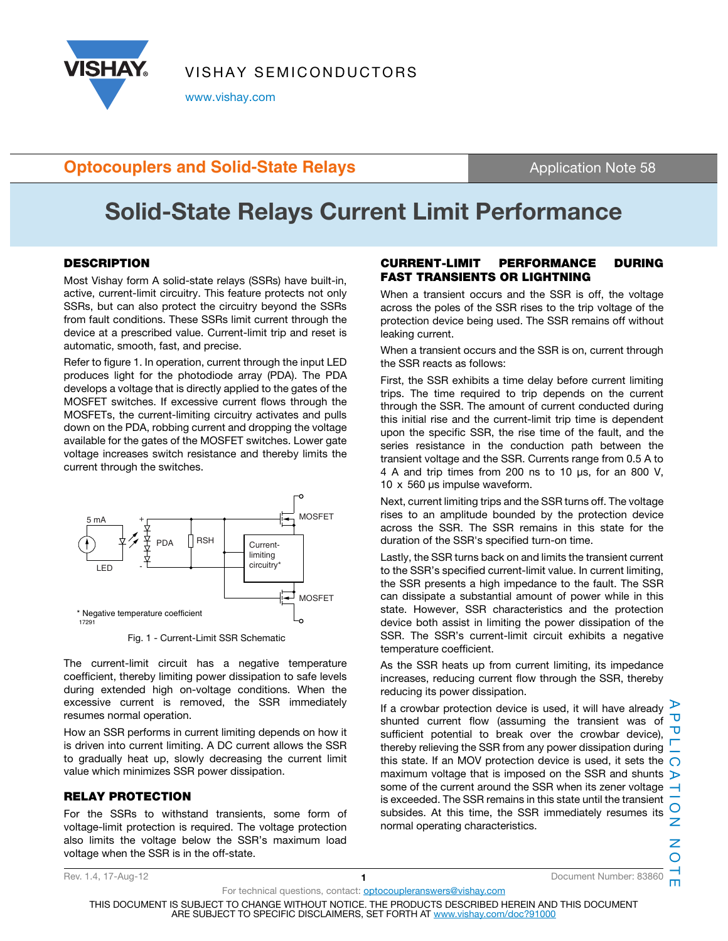

VISHAY SEMICONDUCTORS

www.vishay.com

## **Optocouplers and Solid-State Relays Application Note 58**

# **Solid-State Relays Current Limit Performance**

#### **DESCRIPTION**

Most Vishay form A solid-state relays (SSRs) have built-in, active, current-limit circuitry. This feature protects not only SSRs, but can also protect the circuitry beyond the SSRs from fault conditions. These SSRs limit current through the device at a prescribed value. Current-limit trip and reset is automatic, smooth, fast, and precise.

Refer to figure 1. In operation, current through the input LED produces light for the photodiode array (PDA). The PDA develops a voltage that is directly applied to the gates of the MOSFET switches. If excessive current flows through the MOSFETs, the current-limiting circuitry activates and pulls down on the PDA, robbing current and dropping the voltage available for the gates of the MOSFET switches. Lower gate voltage increases switch resistance and thereby limits the current through the switches.



Fig. 1 - Current-Limit SSR Schematic

The current-limit circuit has a negative temperature coefficient, thereby limiting power dissipation to safe levels during extended high on-voltage conditions. When the excessive current is removed, the SSR immediately resumes normal operation.

How an SSR performs in current limiting depends on how it is driven into current limiting. A DC current allows the SSR to gradually heat up, slowly decreasing the current limit value which minimizes SSR power dissipation.

### **RELAY PROTECTION**

For the SSRs to withstand transients, some form of voltage-limit protection is required. The voltage protection also limits the voltage below the SSR's maximum load voltage when the SSR is in the off-state.

#### **CURRENT-LIMIT PERFORMANCE DURING FAST TRANSIENTS OR LIGHTNING**

When a transient occurs and the SSR is off, the voltage across the poles of the SSR rises to the trip voltage of the protection device being used. The SSR remains off without leaking current.

When a transient occurs and the SSR is on, current through the SSR reacts as follows:

First, the SSR exhibits a time delay before current limiting trips. The time required to trip depends on the current through the SSR. The amount of current conducted during this initial rise and the current-limit trip time is dependent upon the specific SSR, the rise time of the fault, and the series resistance in the conduction path between the transient voltage and the SSR. Currents range from 0.5 A to 4 A and trip times from 200 ns to 10 μs, for an 800 V, 10 x 560 μs impulse waveform.

Next, current limiting trips and the SSR turns off. The voltage rises to an amplitude bounded by the protection device across the SSR. The SSR remains in this state for the duration of the SSR's specified turn-on time.

Lastly, the SSR turns back on and limits the transient current to the SSR's specified current-limit value. In current limiting, the SSR presents a high impedance to the fault. The SSR can dissipate a substantial amount of power while in this state. However, SSR characteristics and the protection device both assist in limiting the power dissipation of the SSR. The SSR's current-limit circuit exhibits a negative temperature coefficient.

As the SSR heats up from current limiting, its impedance increases, reducing current flow through the SSR, thereby reducing its power dissipation.

If a crowbar protection device is used, it will have already Ð shunted current flow (assuming the transient was of ᅮ sufficient potential to break over the crowbar device). thereby relieving the SSR from any power dissipation during this state. If an MOV protection device is used, it sets the  $\bigcirc$ maximum voltage that is imposed on the SSR and shunts some of the current around the SSR when its zener voltage  $\rightarrow$ is exceeded. The SSR remains in this state until the transient subsides. At this time, the SSR immediately resumes its normal operating characteristics.

For technical questions, contact: optocoupleranswers@vishay.com